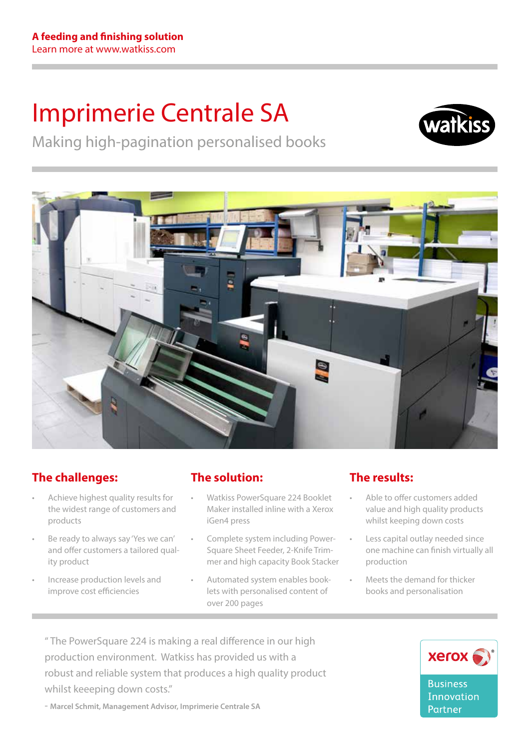# Imprimerie Centrale SA



Making high-pagination personalised books



# **The challenges:**

- Achieve highest quality results for the widest range of customers and products
- Be ready to always say 'Yes we can' and offer customers a tailored quality product
- Increase production levels and improve cost efficiencies

## **The solution:**

- Watkiss PowerSquare 224 Booklet Maker installed inline with a Xerox iGen4 press
- Complete system including Power-Square Sheet Feeder, 2-Knife Trimmer and high capacity Book Stacker
- Automated system enables booklets with personalised content of over 200 pages

## **The results:**

- Able to offer customers added value and high quality products whilst keeping down costs
- Less capital outlay needed since one machine can finish virtually all production
- Meets the demand for thicker books and personalisation

" The PowerSquare 224 is making a real difference in our high production environment. Watkiss has provided us with a robust and reliable system that produces a high quality product whilst keeeping down costs."

- **Marcel Schmit, Management Advisor, Imprimerie Centrale SA**

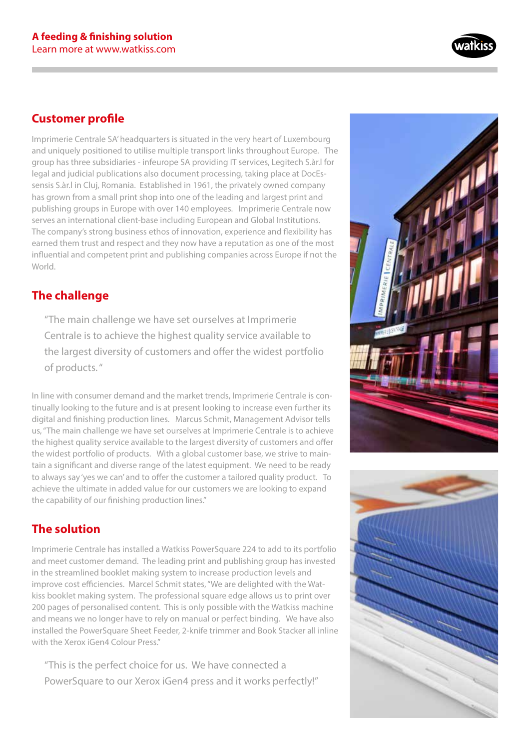

### **Customer profile**

Imprimerie Centrale SA' headquarters is situated in the very heart of Luxembourg and uniquely positioned to utilise multiple transport links throughout Europe. The group has three subsidiaries - infeurope SA providing IT services, Legitech S.àr.l for legal and judicial publications also document processing, taking place at DocEssensis S.àr.l in Cluj, Romania. Established in 1961, the privately owned company has grown from a small print shop into one of the leading and largest print and publishing groups in Europe with over 140 employees. Imprimerie Centrale now serves an international client-base including European and Global Institutions. The company's strong business ethos of innovation, experience and flexibility has earned them trust and respect and they now have a reputation as one of the most influential and competent print and publishing companies across Europe if not the World.

## **The challenge**

"The main challenge we have set ourselves at Imprimerie Centrale is to achieve the highest quality service available to the largest diversity of customers and offer the widest portfolio of products. "

In line with consumer demand and the market trends, Imprimerie Centrale is continually looking to the future and is at present looking to increase even further its digital and finishing production lines. Marcus Schmit, Management Advisor tells us, "The main challenge we have set ourselves at Imprimerie Centrale is to achieve the highest quality service available to the largest diversity of customers and offer the widest portfolio of products. With a global customer base, we strive to maintain a significant and diverse range of the latest equipment. We need to be ready to always say 'yes we can' and to offer the customer a tailored quality product. To achieve the ultimate in added value for our customers we are looking to expand the capability of our finishing production lines."

## **The solution**

Imprimerie Centrale has installed a Watkiss PowerSquare 224 to add to its portfolio and meet customer demand. The leading print and publishing group has invested in the streamlined booklet making system to increase production levels and improve cost efficiencies. Marcel Schmit states, "We are delighted with the Watkiss booklet making system. The professional square edge allows us to print over 200 pages of personalised content. This is only possible with the Watkiss machine and means we no longer have to rely on manual or perfect binding. We have also installed the PowerSquare Sheet Feeder, 2-knife trimmer and Book Stacker all inline with the Xerox iGen4 Colour Press."

"This is the perfect choice for us. We have connected a PowerSquare to our Xerox iGen4 press and it works perfectly!"



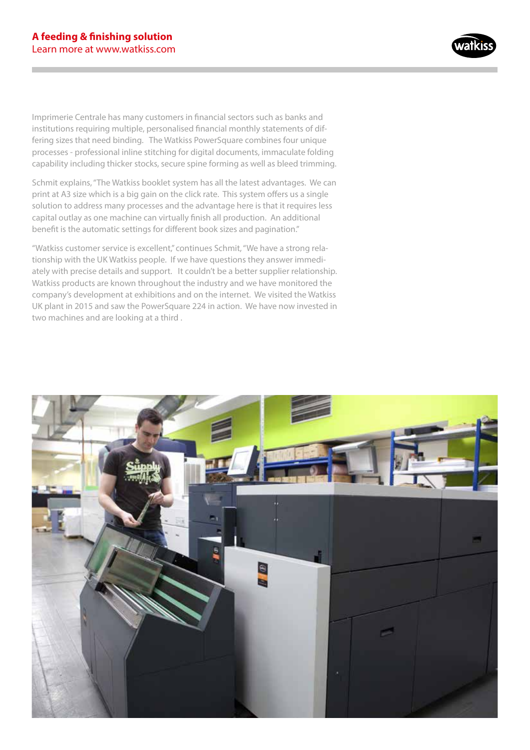

Imprimerie Centrale has many customers in financial sectors such as banks and institutions requiring multiple, personalised financial monthly statements of differing sizes that need binding. The Watkiss PowerSquare combines four unique processes - professional inline stitching for digital documents, immaculate folding capability including thicker stocks, secure spine forming as well as bleed trimming.

Schmit explains, "The Watkiss booklet system has all the latest advantages. We can print at A3 size which is a big gain on the click rate. This system offers us a single solution to address many processes and the advantage here is that it requires less capital outlay as one machine can virtually finish all production. An additional benefit is the automatic settings for different book sizes and pagination."

"Watkiss customer service is excellent," continues Schmit, "We have a strong relationship with the UK Watkiss people. If we have questions they answer immediately with precise details and support. It couldn't be a better supplier relationship. Watkiss products are known throughout the industry and we have monitored the company's development at exhibitions and on the internet. We visited the Watkiss UK plant in 2015 and saw the PowerSquare 224 in action. We have now invested in two machines and are looking at a third .